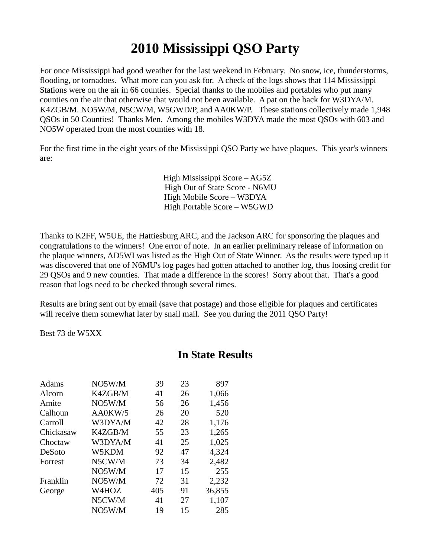## **2010 Mississippi QSO Party**

For once Mississippi had good weather for the last weekend in February. No snow, ice, thunderstorms, flooding, or tornadoes. What more can you ask for. A check of the logs shows that 114 Mississippi Stations were on the air in 66 counties. Special thanks to the mobiles and portables who put many counties on the air that otherwise that would not been available. A pat on the back for W3DYA/M. K4ZGB/M. NO5W/M, N5CW/M, W5GWD/P, and AA0KW/P. These stations collectively made 1,948 QSOs in 50 Counties! Thanks Men. Among the mobiles W3DYA made the most QSOs with 603 and NO5W operated from the most counties with 18.

For the first time in the eight years of the Mississippi QSO Party we have plaques. This year's winners are:

> High Mississippi Score – AG5Z High Out of State Score - N6MU High Mobile Score – W3DYA High Portable Score – W5GWD

Thanks to K2FF, W5UE, the Hattiesburg ARC, and the Jackson ARC for sponsoring the plaques and congratulations to the winners! One error of note. In an earlier preliminary release of information on the plaque winners, AD5WI was listed as the High Out of State Winner. As the results were typed up it was discovered that one of N6MU's log pages had gotten attached to another log, thus loosing credit for 29 QSOs and 9 new counties. That made a difference in the scores! Sorry about that. That's a good reason that logs need to be checked through several times.

Results are bring sent out by email (save that postage) and those eligible for plaques and certificates will receive them somewhat later by snail mail. See you during the 2011 QSO Party!

Best 73 de W5XX

| NO5W/M  | 39  | 23 | 897    |
|---------|-----|----|--------|
| K4ZGB/M | 41  | 26 | 1,066  |
| NO5W/M  | 56  | 26 | 1,456  |
| AA0KW/5 | 26  | 20 | 520    |
| W3DYA/M | 42  | 28 | 1,176  |
| K4ZGB/M | 55  | 23 | 1,265  |
| W3DYA/M | 41  | 25 | 1,025  |
| W5KDM   | 92  | 47 | 4,324  |
| N5CW/M  | 73  | 34 | 2,482  |
| NO5W/M  | 17  | 15 | 255    |
| NO5W/M  | 72  | 31 | 2,232  |
| W4HOZ   | 405 | 91 | 36,855 |
| N5CW/M  | 41  | 27 | 1,107  |
| NO5W/M  | 19  | 15 | 285    |
|         |     |    |        |

## **In State Results**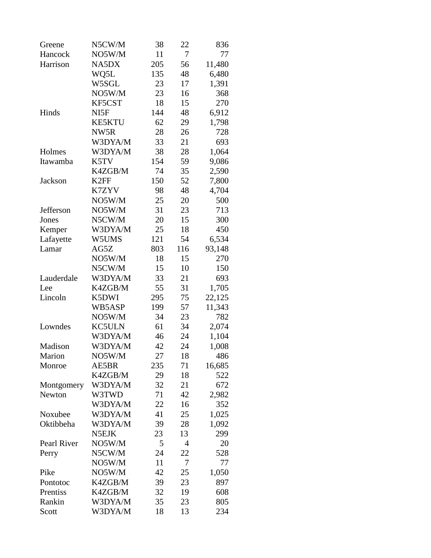| Greene      | N5CW/M           | 38  | 22  | 836    |
|-------------|------------------|-----|-----|--------|
| Hancock     | NO5W/M           | 11  | 7   | 77     |
| Harrison    | NA5DX            | 205 | 56  | 11,480 |
|             | WQ5L             | 135 | 48  | 6,480  |
|             | W5SGL            | 23  | 17  | 1,391  |
|             | NO5W/M           | 23  | 16  | 368    |
|             | KF5CST           | 18  | 15  | 270    |
| Hinds       | NI5F             | 144 | 48  | 6,912  |
|             | <b>KE5KTU</b>    | 62  | 29  | 1,798  |
|             | NW5R             | 28  | 26  | 728    |
|             | W3DYA/M          | 33  | 21  | 693    |
| Holmes      | W3DYA/M          | 38  | 28  | 1,064  |
| Itawamba    | K5TV             | 154 | 59  | 9,086  |
|             | K4ZGB/M          | 74  | 35  | 2,590  |
| Jackson     | K <sub>2FF</sub> | 150 | 52  | 7,800  |
|             | K7ZYV            | 98  | 48  | 4,704  |
|             | NO5W/M           | 25  | 20  | 500    |
| Jefferson   | NO5W/M           | 31  | 23  | 713    |
| Jones       | N5CW/M           | 20  | 15  | 300    |
| Kemper      | W3DYA/M          | 25  | 18  | 450    |
| Lafayette   | W5UMS            | 121 | 54  | 6,534  |
| Lamar       | AG5Z             | 803 | 116 | 93,148 |
|             | NO5W/M           | 18  | 15  | 270    |
|             | N5CW/M           | 15  | 10  | 150    |
| Lauderdale  | W3DYA/M          | 33  | 21  | 693    |
| Lee         | K4ZGB/M          | 55  | 31  | 1,705  |
| Lincoln     | K5DWI            | 295 | 75  | 22,125 |
|             | WB5ASP           | 199 | 57  | 11,343 |
|             | NO5W/M           | 34  | 23  | 782    |
| Lowndes     | <b>KC5ULN</b>    | 61  | 34  | 2,074  |
|             | W3DYA/M          | 46  | 24  | 1,104  |
| Madison     | W3DYA/M          | 42  | 24  | 1,008  |
| Marion      | NO5W/M           | 27  | 18  | 486    |
| Monroe      | AE5BR            | 235 | 71  | 16,685 |
|             | K4ZGB/M          | 29  | 18  | 522    |
| Montgomery  | W3DYA/M          | 32  | 21  | 672    |
| Newton      | W3TWD            | 71  | 42  | 2,982  |
|             | W3DYA/M          | 22  | 16  | 352    |
| Noxubee     | W3DYA/M          | 41  | 25  | 1,025  |
| Oktibbeha   | W3DYA/M          | 39  | 28  | 1,092  |
|             | N5EJK            | 23  | 13  | 299    |
| Pearl River | NO5W/M           | 5   | 4   | 20     |
| Perry       | N5CW/M           | 24  | 22  | 528    |
|             | NO5W/M           | 11  | 7   | 77     |
| Pike        | NO5W/M           | 42  | 25  | 1,050  |
| Pontotoc    | K4ZGB/M          | 39  | 23  | 897    |
| Prentiss    | K4ZGB/M          | 32  | 19  | 608    |
| Rankin      | W3DYA/M          | 35  | 23  | 805    |
| Scott       | W3DYA/M          | 18  | 13  | 234    |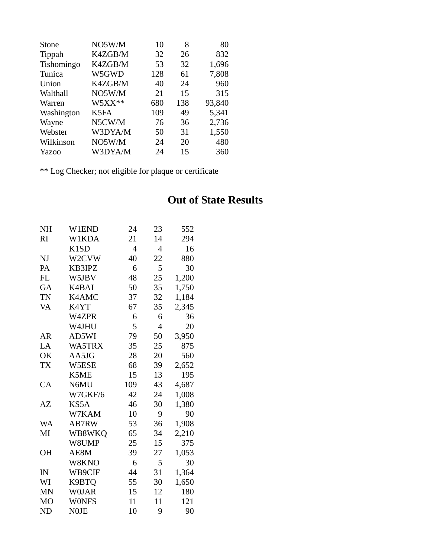| Stone      | NO5W/M   | 10  | 8   | 80     |
|------------|----------|-----|-----|--------|
| Tippah     | K4ZGB/M  | 32  | 26  | 832    |
| Tishomingo | K4ZGB/M  | 53  | 32  | 1,696  |
| Tunica     | W5GWD    | 128 | 61  | 7,808  |
| Union      | K4ZGB/M  | 40  | 24  | 960    |
| Walthall   | NO5W/M   | 21  | 15  | 315    |
| Warren     | $W5XX**$ | 680 | 138 | 93,840 |
| Washington | K5FA     | 109 | 49  | 5,341  |
| Wayne      | N5CW/M   | 76  | 36  | 2,736  |
| Webster    | W3DYA/M  | 50  | 31  | 1,550  |
| Wilkinson  | NO5W/M   | 24  | 20  | 480    |
| Yazoo      | W3DYA/M  | 24  | 15  | 360    |

\*\* Log Checker; not eligible for plaque or certificate

## **Out of State Results**

| NΗ             | W1END                         | 24             | 23 | 552   |
|----------------|-------------------------------|----------------|----|-------|
| RI             | W1KDA                         | 21             | 14 | 294   |
|                | K <sub>1</sub> S <sub>D</sub> | $\overline{4}$ | 4  | 16    |
| NJ             | W2CVW                         | 40             | 22 | 880   |
| PA             | KB3IPZ                        | 6              | 5  | 30    |
| FL             | W5JBV                         | 48             | 25 | 1,200 |
| GA             | K4BAI                         | 50             | 35 | 1,750 |
| TN             | K4AMC                         | 37             | 32 | 1,184 |
| VA             | K4YT                          | 67             | 35 | 2,345 |
|                | W4ZPR                         | 6              | 6  | 36    |
|                | W4JHU                         | 5              | 4  | 20    |
| AR             | AD5WI                         | 79             | 50 | 3,950 |
| LA             | WA5TRX                        | 35             | 25 | 875   |
| OK             | AA5JG                         | 28             | 20 | 560   |
| TX             | W5ESE                         | 68             | 39 | 2,652 |
|                | K5ME                          | 15             | 13 | 195   |
| CA             | N6MU                          | 109            | 43 | 4,687 |
|                | W7GKF/6                       | 42             | 24 | 1,008 |
| AZ             | KS5A                          | 46             | 30 | 1,380 |
|                | W7KAM                         | 10             | 9  | 90    |
| WA             | AB7RW                         | 53             | 36 | 1,908 |
| MI             | WB8WKQ                        | 65             | 34 | 2,210 |
|                | W8UMP                         | 25             | 15 | 375   |
| OН             | AE8M                          | 39             | 27 | 1,053 |
|                | W8KNO                         | 6              | 5  | 30    |
| IN             | WB9CIF                        | 44             | 31 | 1,364 |
| WI             | K9BTQ                         | 55             | 30 | 1,650 |
| <b>MN</b>      | <b>WOJAR</b>                  | 15             | 12 | 180   |
| M <sub>O</sub> | <b>WONFS</b>                  | 11             | 11 | 121   |
| <b>ND</b>      | <b>NOJE</b>                   | 10             | 9  | 90    |